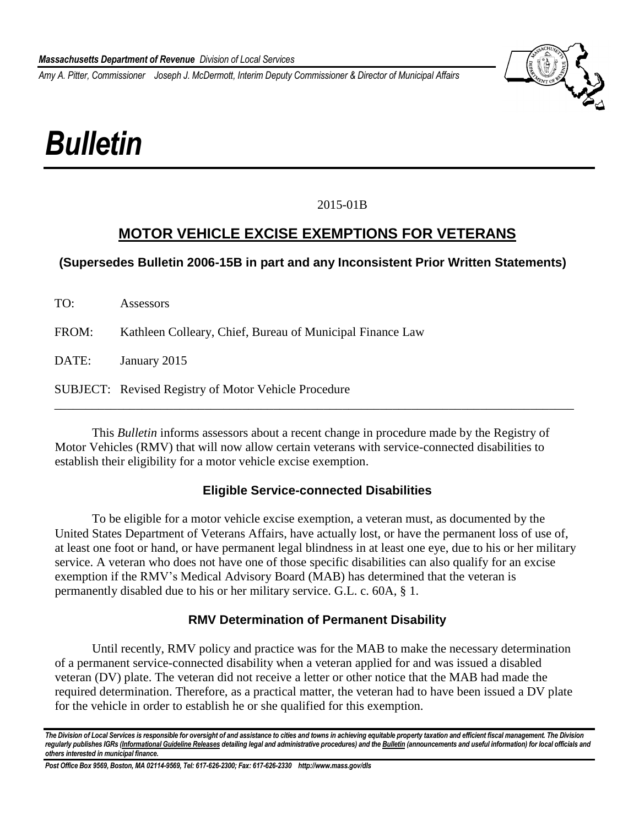*Amy A. Pitter, Commissioner Joseph J. McDermott, Interim Deputy Commissioner & Director of Municipal Affairs*



# *Bulletin*

## 2015-01B

# **MOTOR VEHICLE EXCISE EXEMPTIONS FOR VETERANS**

## **(Supersedes Bulletin 2006-15B in part and any Inconsistent Prior Written Statements)**

| TO:   | Assessors                                                   |
|-------|-------------------------------------------------------------|
| FROM: | Kathleen Colleary, Chief, Bureau of Municipal Finance Law   |
| DATE: | January 2015                                                |
|       | <b>SUBJECT:</b> Revised Registry of Motor Vehicle Procedure |

This *Bulletin* informs assessors about a recent change in procedure made by the Registry of Motor Vehicles (RMV) that will now allow certain veterans with service-connected disabilities to establish their eligibility for a motor vehicle excise exemption.

#### **Eligible Service-connected Disabilities**

To be eligible for a motor vehicle excise exemption, a veteran must, as documented by the United States Department of Veterans Affairs, have actually lost, or have the permanent loss of use of, at least one foot or hand, or have permanent legal blindness in at least one eye, due to his or her military service. A veteran who does not have one of those specific disabilities can also qualify for an excise exemption if the RMV's Medical Advisory Board (MAB) has determined that the veteran is permanently disabled due to his or her military service. G.L. c. 60A, § 1.

#### **RMV Determination of Permanent Disability**

Until recently, RMV policy and practice was for the MAB to make the necessary determination of a permanent service-connected disability when a veteran applied for and was issued a disabled veteran (DV) plate. The veteran did not receive a letter or other notice that the MAB had made the required determination. Therefore, as a practical matter, the veteran had to have been issued a DV plate for the vehicle in order to establish he or she qualified for this exemption.

*The Division of Local Services is responsible for oversight of and assistance to cities and towns in achieving equitable property taxation and efficient fiscal management. The Division regularly publishes IGRs (Informational Guideline Releases detailing legal and administrative procedures) and the Bulletin (announcements and useful information) for local officials and others interested in municipal finance.*

*Post Office Box 9569, Boston, MA 02114-9569, Tel: 617-626-2300; Fax: 617-626-2330 http://www.mass.gov/dls*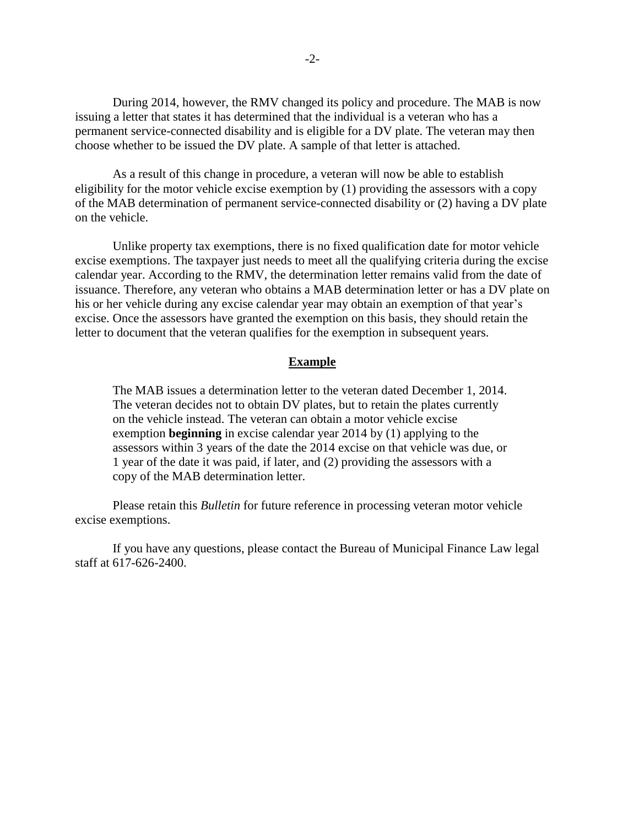During 2014, however, the RMV changed its policy and procedure. The MAB is now issuing a letter that states it has determined that the individual is a veteran who has a permanent service-connected disability and is eligible for a DV plate. The veteran may then choose whether to be issued the DV plate. A sample of that letter is attached.

As a result of this change in procedure, a veteran will now be able to establish eligibility for the motor vehicle excise exemption by (1) providing the assessors with a copy of the MAB determination of permanent service-connected disability or (2) having a DV plate on the vehicle.

Unlike property tax exemptions, there is no fixed qualification date for motor vehicle excise exemptions. The taxpayer just needs to meet all the qualifying criteria during the excise calendar year. According to the RMV, the determination letter remains valid from the date of issuance. Therefore, any veteran who obtains a MAB determination letter or has a DV plate on his or her vehicle during any excise calendar year may obtain an exemption of that year's excise. Once the assessors have granted the exemption on this basis, they should retain the letter to document that the veteran qualifies for the exemption in subsequent years.

#### **Example**

The MAB issues a determination letter to the veteran dated December 1, 2014. The veteran decides not to obtain DV plates, but to retain the plates currently on the vehicle instead. The veteran can obtain a motor vehicle excise exemption **beginning** in excise calendar year 2014 by (1) applying to the assessors within 3 years of the date the 2014 excise on that vehicle was due, or 1 year of the date it was paid, if later, and (2) providing the assessors with a copy of the MAB determination letter.

Please retain this *Bulletin* for future reference in processing veteran motor vehicle excise exemptions.

If you have any questions, please contact the Bureau of Municipal Finance Law legal staff at 617-626-2400.